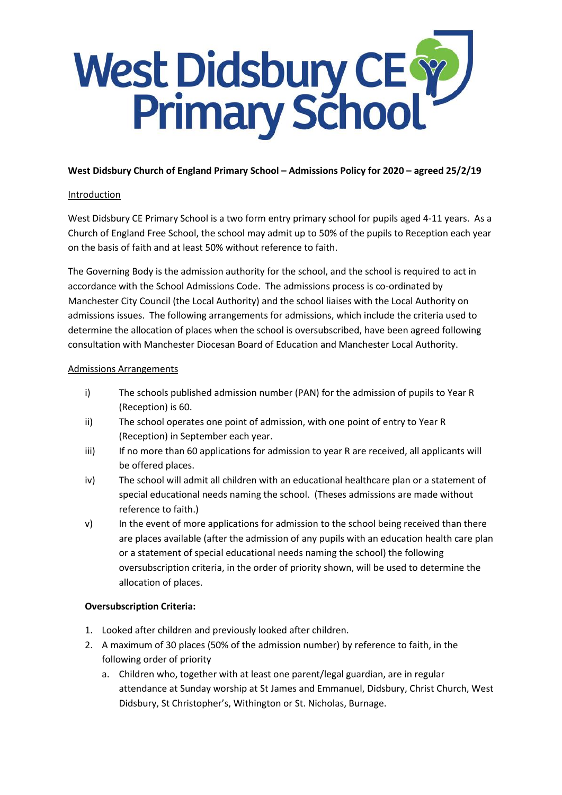# West Didsbury CE Y

## **West Didsbury Church of England Primary School – Admissions Policy for 2020 – agreed 25/2/19**

#### Introduction

West Didsbury CE Primary School is a two form entry primary school for pupils aged 4-11 years. As a Church of England Free School, the school may admit up to 50% of the pupils to Reception each year on the basis of faith and at least 50% without reference to faith.

The Governing Body is the admission authority for the school, and the school is required to act in accordance with the School Admissions Code. The admissions process is co-ordinated by Manchester City Council (the Local Authority) and the school liaises with the Local Authority on admissions issues. The following arrangements for admissions, which include the criteria used to determine the allocation of places when the school is oversubscribed, have been agreed following consultation with Manchester Diocesan Board of Education and Manchester Local Authority.

#### Admissions Arrangements

- i) The schools published admission number (PAN) for the admission of pupils to Year R (Reception) is 60.
- ii) The school operates one point of admission, with one point of entry to Year R (Reception) in September each year.
- iii) If no more than 60 applications for admission to year R are received, all applicants will be offered places.
- iv) The school will admit all children with an educational healthcare plan or a statement of special educational needs naming the school. (Theses admissions are made without reference to faith.)
- v) In the event of more applications for admission to the school being received than there are places available (after the admission of any pupils with an education health care plan or a statement of special educational needs naming the school) the following oversubscription criteria, in the order of priority shown, will be used to determine the allocation of places.

## **Oversubscription Criteria:**

- 1. Looked after children and previously looked after children.
- 2. A maximum of 30 places (50% of the admission number) by reference to faith, in the following order of priority
	- a. Children who, together with at least one parent/legal guardian, are in regular attendance at Sunday worship at St James and Emmanuel, Didsbury, Christ Church, West Didsbury, St Christopher's, Withington or St. Nicholas, Burnage.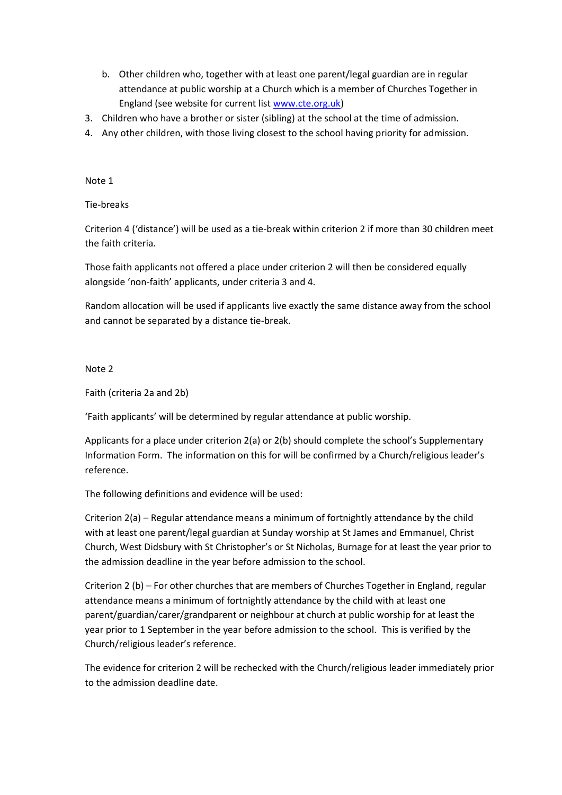- b. Other children who, together with at least one parent/legal guardian are in regular attendance at public worship at a Church which is a member of Churches Together in England (see website for current list [www.cte.org.uk\)](http://www.cte.org.uk/)
- 3. Children who have a brother or sister (sibling) at the school at the time of admission.
- 4. Any other children, with those living closest to the school having priority for admission.

Note 1

Tie-breaks

Criterion 4 ('distance') will be used as a tie-break within criterion 2 if more than 30 children meet the faith criteria.

Those faith applicants not offered a place under criterion 2 will then be considered equally alongside 'non-faith' applicants, under criteria 3 and 4.

Random allocation will be used if applicants live exactly the same distance away from the school and cannot be separated by a distance tie-break.

Note 2

Faith (criteria 2a and 2b)

'Faith applicants' will be determined by regular attendance at public worship.

Applicants for a place under criterion 2(a) or 2(b) should complete the school's Supplementary Information Form. The information on this for will be confirmed by a Church/religious leader's reference.

The following definitions and evidence will be used:

Criterion 2(a) – Regular attendance means a minimum of fortnightly attendance by the child with at least one parent/legal guardian at Sunday worship at St James and Emmanuel, Christ Church, West Didsbury with St Christopher's or St Nicholas, Burnage for at least the year prior to the admission deadline in the year before admission to the school.

Criterion 2 (b) – For other churches that are members of Churches Together in England, regular attendance means a minimum of fortnightly attendance by the child with at least one parent/guardian/carer/grandparent or neighbour at church at public worship for at least the year prior to 1 September in the year before admission to the school. This is verified by the Church/religious leader's reference.

The evidence for criterion 2 will be rechecked with the Church/religious leader immediately prior to the admission deadline date.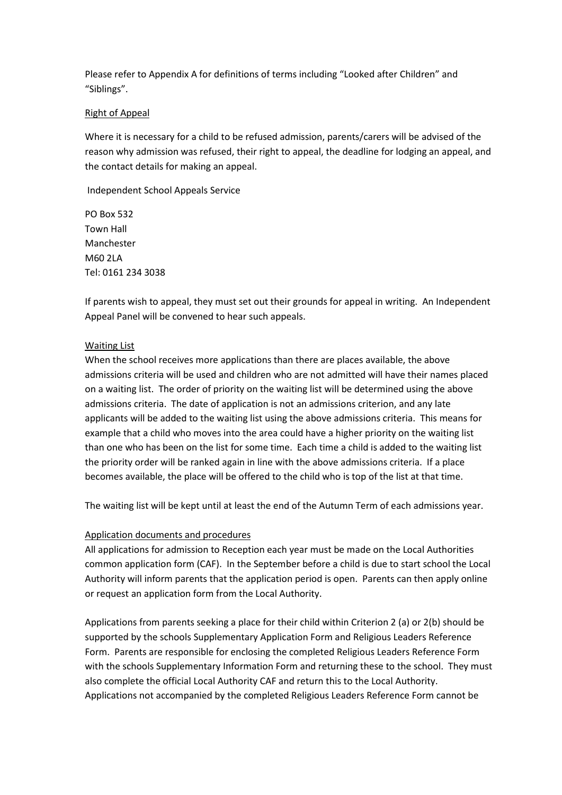Please refer to Appendix A for definitions of terms including "Looked after Children" and "Siblings".

#### Right of Appeal

Where it is necessary for a child to be refused admission, parents/carers will be advised of the reason why admission was refused, their right to appeal, the deadline for lodging an appeal, and the contact details for making an appeal.

Independent School Appeals Service

PO Box 532 Town Hall Manchester M60 2LA Tel: [0161](tel:0161) 234 3038

If parents wish to appeal, they must set out their grounds for appeal in writing. An Independent Appeal Panel will be convened to hear such appeals.

#### Waiting List

When the school receives more applications than there are places available, the above admissions criteria will be used and children who are not admitted will have their names placed on a waiting list. The order of priority on the waiting list will be determined using the above admissions criteria. The date of application is not an admissions criterion, and any late applicants will be added to the waiting list using the above admissions criteria. This means for example that a child who moves into the area could have a higher priority on the waiting list than one who has been on the list for some time. Each time a child is added to the waiting list the priority order will be ranked again in line with the above admissions criteria. If a place becomes available, the place will be offered to the child who is top of the list at that time.

The waiting list will be kept until at least the end of the Autumn Term of each admissions year.

#### Application documents and procedures

All applications for admission to Reception each year must be made on the Local Authorities common application form (CAF). In the September before a child is due to start school the Local Authority will inform parents that the application period is open. Parents can then apply online or request an application form from the Local Authority.

Applications from parents seeking a place for their child within Criterion 2 (a) or 2(b) should be supported by the schools Supplementary Application Form and Religious Leaders Reference Form. Parents are responsible for enclosing the completed Religious Leaders Reference Form with the schools Supplementary Information Form and returning these to the school. They must also complete the official Local Authority CAF and return this to the Local Authority. Applications not accompanied by the completed Religious Leaders Reference Form cannot be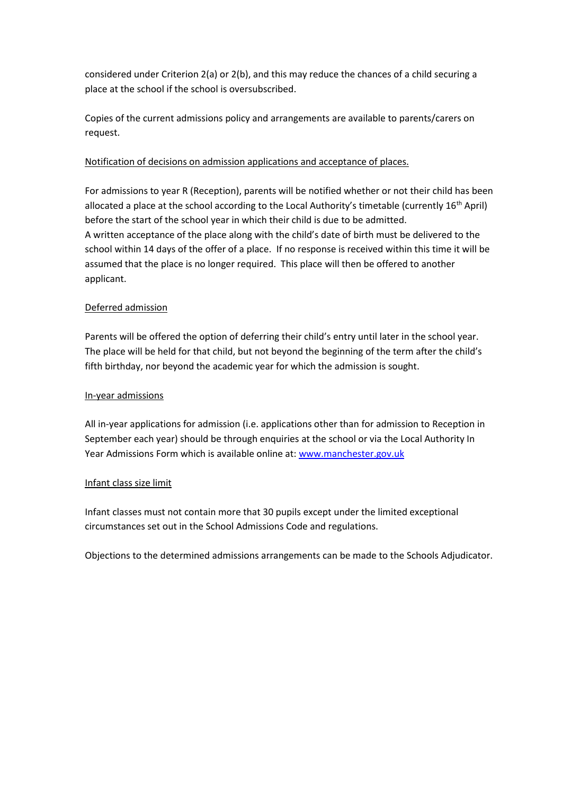considered under Criterion 2(a) or 2(b), and this may reduce the chances of a child securing a place at the school if the school is oversubscribed.

Copies of the current admissions policy and arrangements are available to parents/carers on request.

## Notification of decisions on admission applications and acceptance of places.

For admissions to year R (Reception), parents will be notified whether or not their child has been allocated a place at the school according to the Local Authority's timetable (currently 16th April) before the start of the school year in which their child is due to be admitted. A written acceptance of the place along with the child's date of birth must be delivered to the school within 14 days of the offer of a place. If no response is received within this time it will be assumed that the place is no longer required. This place will then be offered to another applicant.

## Deferred admission

Parents will be offered the option of deferring their child's entry until later in the school year. The place will be held for that child, but not beyond the beginning of the term after the child's fifth birthday, nor beyond the academic year for which the admission is sought.

## In-year admissions

All in-year applications for admission (i.e. applications other than for admission to Reception in September each year) should be through enquiries at the school or via the Local Authority In Year Admissions Form which is available online at[: www.manchester.gov.uk](http://www.manchester.gov.uk/)

## Infant class size limit

Infant classes must not contain more that 30 pupils except under the limited exceptional circumstances set out in the School Admissions Code and regulations.

Objections to the determined admissions arrangements can be made to the Schools Adjudicator.